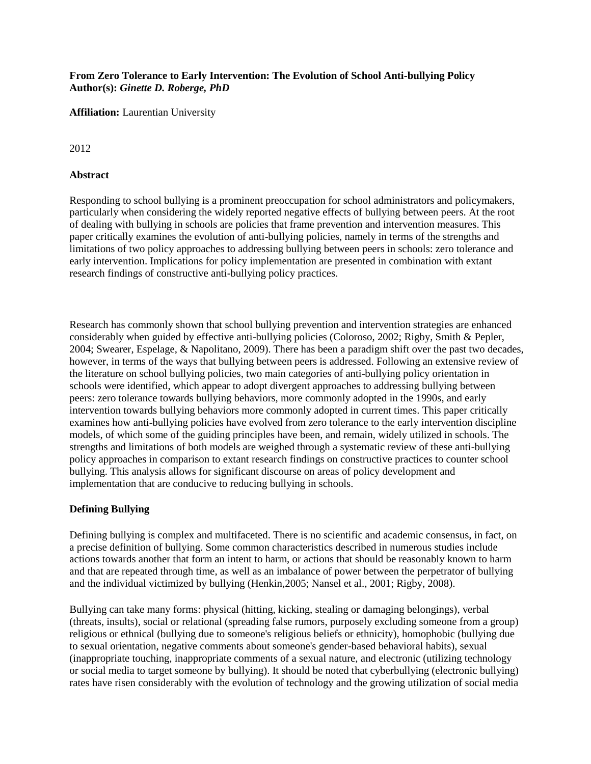#### **From Zero Tolerance to Early Intervention: The Evolution of School Anti-bullying Policy Author(s):** *Ginette D. Roberge, PhD*

**Affiliation:** Laurentian University

2012

#### **Abstract**

Responding to school bullying is a prominent preoccupation for school administrators and policymakers, particularly when considering the widely reported negative effects of bullying between peers. At the root of dealing with bullying in schools are policies that frame prevention and intervention measures. This paper critically examines the evolution of anti-bullying policies, namely in terms of the strengths and limitations of two policy approaches to addressing bullying between peers in schools: zero tolerance and early intervention. Implications for policy implementation are presented in combination with extant research findings of constructive anti-bullying policy practices.

Research has commonly shown that school bullying prevention and intervention strategies are enhanced considerably when guided by effective anti-bullying policies (Coloroso, 2002; Rigby, Smith & Pepler, 2004; Swearer, Espelage, & Napolitano, 2009). There has been a paradigm shift over the past two decades, however, in terms of the ways that bullying between peers is addressed. Following an extensive review of the literature on school bullying policies, two main categories of anti-bullying policy orientation in schools were identified, which appear to adopt divergent approaches to addressing bullying between peers: zero tolerance towards bullying behaviors, more commonly adopted in the 1990s, and early intervention towards bullying behaviors more commonly adopted in current times. This paper critically examines how anti-bullying policies have evolved from zero tolerance to the early intervention discipline models, of which some of the guiding principles have been, and remain, widely utilized in schools. The strengths and limitations of both models are weighed through a systematic review of these anti-bullying policy approaches in comparison to extant research findings on constructive practices to counter school bullying. This analysis allows for significant discourse on areas of policy development and implementation that are conducive to reducing bullying in schools.

# **Defining Bullying**

Defining bullying is complex and multifaceted. There is no scientific and academic consensus, in fact, on a precise definition of bullying. Some common characteristics described in numerous studies include actions towards another that form an intent to harm, or actions that should be reasonably known to harm and that are repeated through time, as well as an imbalance of power between the perpetrator of bullying and the individual victimized by bullying (Henkin,2005; Nansel et al., 2001; Rigby, 2008).

Bullying can take many forms: physical (hitting, kicking, stealing or damaging belongings), verbal (threats, insults), social or relational (spreading false rumors, purposely excluding someone from a group) religious or ethnical (bullying due to someone's religious beliefs or ethnicity), homophobic (bullying due to sexual orientation, negative comments about someone's gender-based behavioral habits), sexual (inappropriate touching, inappropriate comments of a sexual nature, and electronic (utilizing technology or social media to target someone by bullying). It should be noted that cyberbullying (electronic bullying) rates have risen considerably with the evolution of technology and the growing utilization of social media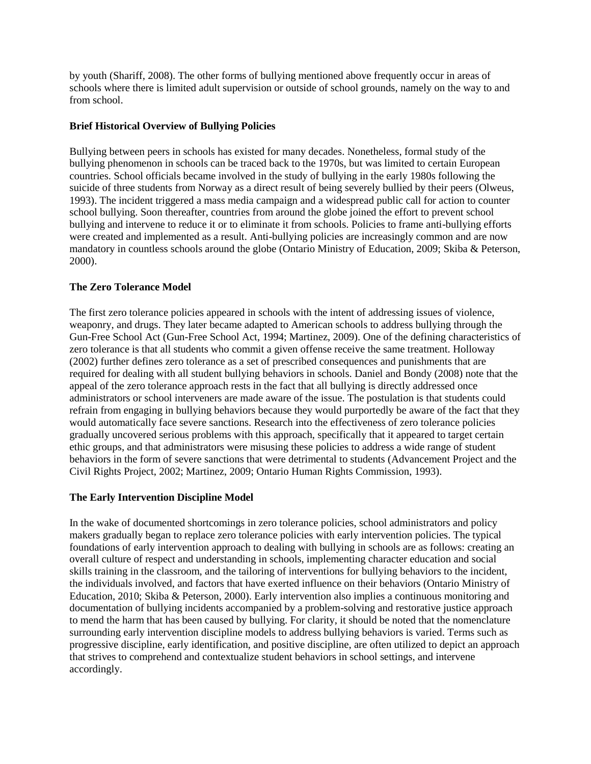by youth (Shariff, 2008). The other forms of bullying mentioned above frequently occur in areas of schools where there is limited adult supervision or outside of school grounds, namely on the way to and from school.

# **Brief Historical Overview of Bullying Policies**

Bullying between peers in schools has existed for many decades. Nonetheless, formal study of the bullying phenomenon in schools can be traced back to the 1970s, but was limited to certain European countries. School officials became involved in the study of bullying in the early 1980s following the suicide of three students from Norway as a direct result of being severely bullied by their peers (Olweus, 1993). The incident triggered a mass media campaign and a widespread public call for action to counter school bullying. Soon thereafter, countries from around the globe joined the effort to prevent school bullying and intervene to reduce it or to eliminate it from schools. Policies to frame anti-bullying efforts were created and implemented as a result. Anti-bullying policies are increasingly common and are now mandatory in countless schools around the globe (Ontario Ministry of Education, 2009; Skiba & Peterson, 2000).

# **The Zero Tolerance Model**

The first zero tolerance policies appeared in schools with the intent of addressing issues of violence, weaponry, and drugs. They later became adapted to American schools to address bullying through the Gun-Free School Act (Gun-Free School Act, 1994; Martinez, 2009). One of the defining characteristics of zero tolerance is that all students who commit a given offense receive the same treatment. Holloway (2002) further defines zero tolerance as a set of prescribed consequences and punishments that are required for dealing with all student bullying behaviors in schools. Daniel and Bondy (2008) note that the appeal of the zero tolerance approach rests in the fact that all bullying is directly addressed once administrators or school interveners are made aware of the issue. The postulation is that students could refrain from engaging in bullying behaviors because they would purportedly be aware of the fact that they would automatically face severe sanctions. Research into the effectiveness of zero tolerance policies gradually uncovered serious problems with this approach, specifically that it appeared to target certain ethic groups, and that administrators were misusing these policies to address a wide range of student behaviors in the form of severe sanctions that were detrimental to students (Advancement Project and the Civil Rights Project, 2002; Martinez, 2009; Ontario Human Rights Commission, 1993).

# **The Early Intervention Discipline Model**

In the wake of documented shortcomings in zero tolerance policies, school administrators and policy makers gradually began to replace zero tolerance policies with early intervention policies. The typical foundations of early intervention approach to dealing with bullying in schools are as follows: creating an overall culture of respect and understanding in schools, implementing character education and social skills training in the classroom, and the tailoring of interventions for bullying behaviors to the incident, the individuals involved, and factors that have exerted influence on their behaviors (Ontario Ministry of Education, 2010; Skiba & Peterson, 2000). Early intervention also implies a continuous monitoring and documentation of bullying incidents accompanied by a problem-solving and restorative justice approach to mend the harm that has been caused by bullying. For clarity, it should be noted that the nomenclature surrounding early intervention discipline models to address bullying behaviors is varied. Terms such as progressive discipline, early identification, and positive discipline, are often utilized to depict an approach that strives to comprehend and contextualize student behaviors in school settings, and intervene accordingly.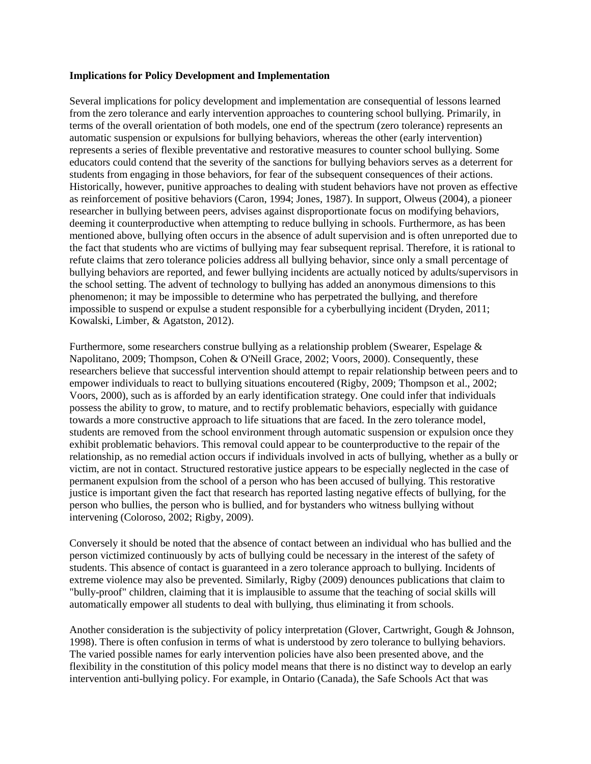#### **Implications for Policy Development and Implementation**

Several implications for policy development and implementation are consequential of lessons learned from the zero tolerance and early intervention approaches to countering school bullying. Primarily, in terms of the overall orientation of both models, one end of the spectrum (zero tolerance) represents an automatic suspension or expulsions for bullying behaviors, whereas the other (early intervention) represents a series of flexible preventative and restorative measures to counter school bullying. Some educators could contend that the severity of the sanctions for bullying behaviors serves as a deterrent for students from engaging in those behaviors, for fear of the subsequent consequences of their actions. Historically, however, punitive approaches to dealing with student behaviors have not proven as effective as reinforcement of positive behaviors (Caron, 1994; Jones, 1987). In support, Olweus (2004), a pioneer researcher in bullying between peers, advises against disproportionate focus on modifying behaviors, deeming it counterproductive when attempting to reduce bullying in schools. Furthermore, as has been mentioned above, bullying often occurs in the absence of adult supervision and is often unreported due to the fact that students who are victims of bullying may fear subsequent reprisal. Therefore, it is rational to refute claims that zero tolerance policies address all bullying behavior, since only a small percentage of bullying behaviors are reported, and fewer bullying incidents are actually noticed by adults/supervisors in the school setting. The advent of technology to bullying has added an anonymous dimensions to this phenomenon; it may be impossible to determine who has perpetrated the bullying, and therefore impossible to suspend or expulse a student responsible for a cyberbullying incident (Dryden, 2011; Kowalski, Limber, & Agatston, 2012).

Furthermore, some researchers construe bullying as a relationship problem (Swearer, Espelage & Napolitano, 2009; Thompson, Cohen & O'Neill Grace, 2002; Voors, 2000). Consequently, these researchers believe that successful intervention should attempt to repair relationship between peers and to empower individuals to react to bullying situations encoutered (Rigby, 2009; Thompson et al., 2002; Voors, 2000), such as is afforded by an early identification strategy. One could infer that individuals possess the ability to grow, to mature, and to rectify problematic behaviors, especially with guidance towards a more constructive approach to life situations that are faced. In the zero tolerance model, students are removed from the school environment through automatic suspension or expulsion once they exhibit problematic behaviors. This removal could appear to be counterproductive to the repair of the relationship, as no remedial action occurs if individuals involved in acts of bullying, whether as a bully or victim, are not in contact. Structured restorative justice appears to be especially neglected in the case of permanent expulsion from the school of a person who has been accused of bullying. This restorative justice is important given the fact that research has reported lasting negative effects of bullying, for the person who bullies, the person who is bullied, and for bystanders who witness bullying without intervening (Coloroso, 2002; Rigby, 2009).

Conversely it should be noted that the absence of contact between an individual who has bullied and the person victimized continuously by acts of bullying could be necessary in the interest of the safety of students. This absence of contact is guaranteed in a zero tolerance approach to bullying. Incidents of extreme violence may also be prevented. Similarly, Rigby (2009) denounces publications that claim to "bully-proof" children, claiming that it is implausible to assume that the teaching of social skills will automatically empower all students to deal with bullying, thus eliminating it from schools.

Another consideration is the subjectivity of policy interpretation (Glover, Cartwright, Gough & Johnson, 1998). There is often confusion in terms of what is understood by zero tolerance to bullying behaviors. The varied possible names for early intervention policies have also been presented above, and the flexibility in the constitution of this policy model means that there is no distinct way to develop an early intervention anti-bullying policy. For example, in Ontario (Canada), the Safe Schools Act that was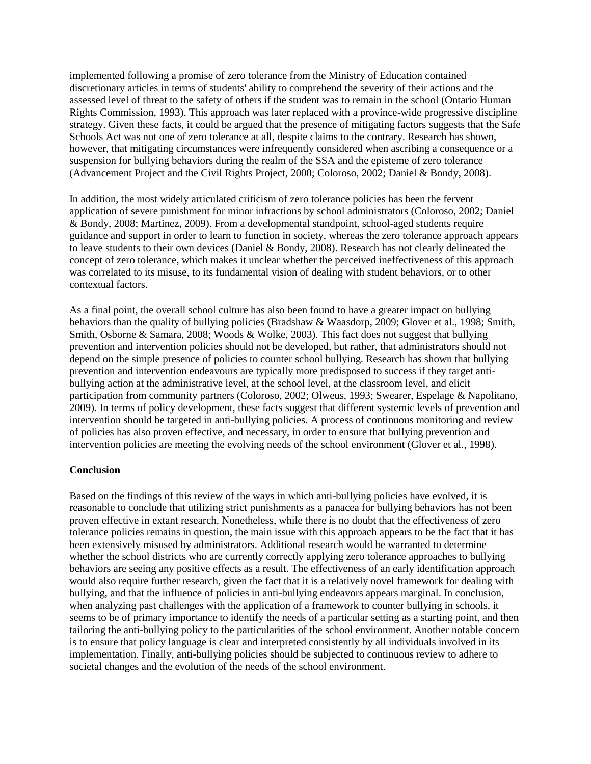implemented following a promise of zero tolerance from the Ministry of Education contained discretionary articles in terms of students' ability to comprehend the severity of their actions and the assessed level of threat to the safety of others if the student was to remain in the school (Ontario Human Rights Commission, 1993). This approach was later replaced with a province-wide progressive discipline strategy. Given these facts, it could be argued that the presence of mitigating factors suggests that the Safe Schools Act was not one of zero tolerance at all, despite claims to the contrary. Research has shown, however, that mitigating circumstances were infrequently considered when ascribing a consequence or a suspension for bullying behaviors during the realm of the SSA and the episteme of zero tolerance (Advancement Project and the Civil Rights Project, 2000; Coloroso, 2002; Daniel & Bondy, 2008).

In addition, the most widely articulated criticism of zero tolerance policies has been the fervent application of severe punishment for minor infractions by school administrators (Coloroso, 2002; Daniel & Bondy, 2008; Martinez, 2009). From a developmental standpoint, school-aged students require guidance and support in order to learn to function in society, whereas the zero tolerance approach appears to leave students to their own devices (Daniel & Bondy, 2008). Research has not clearly delineated the concept of zero tolerance, which makes it unclear whether the perceived ineffectiveness of this approach was correlated to its misuse, to its fundamental vision of dealing with student behaviors, or to other contextual factors.

As a final point, the overall school culture has also been found to have a greater impact on bullying behaviors than the quality of bullying policies (Bradshaw & Waasdorp, 2009; Glover et al., 1998; Smith, Smith, Osborne & Samara, 2008; Woods & Wolke, 2003). This fact does not suggest that bullying prevention and intervention policies should not be developed, but rather, that administrators should not depend on the simple presence of policies to counter school bullying. Research has shown that bullying prevention and intervention endeavours are typically more predisposed to success if they target antibullying action at the administrative level, at the school level, at the classroom level, and elicit participation from community partners (Coloroso, 2002; Olweus, 1993; Swearer, Espelage & Napolitano, 2009). In terms of policy development, these facts suggest that different systemic levels of prevention and intervention should be targeted in anti-bullying policies. A process of continuous monitoring and review of policies has also proven effective, and necessary, in order to ensure that bullying prevention and intervention policies are meeting the evolving needs of the school environment (Glover et al., 1998).

# **Conclusion**

Based on the findings of this review of the ways in which anti-bullying policies have evolved, it is reasonable to conclude that utilizing strict punishments as a panacea for bullying behaviors has not been proven effective in extant research. Nonetheless, while there is no doubt that the effectiveness of zero tolerance policies remains in question, the main issue with this approach appears to be the fact that it has been extensively misused by administrators. Additional research would be warranted to determine whether the school districts who are currently correctly applying zero tolerance approaches to bullying behaviors are seeing any positive effects as a result. The effectiveness of an early identification approach would also require further research, given the fact that it is a relatively novel framework for dealing with bullying, and that the influence of policies in anti-bullying endeavors appears marginal. In conclusion, when analyzing past challenges with the application of a framework to counter bullying in schools, it seems to be of primary importance to identify the needs of a particular setting as a starting point, and then tailoring the anti-bullying policy to the particularities of the school environment. Another notable concern is to ensure that policy language is clear and interpreted consistently by all individuals involved in its implementation. Finally, anti-bullying policies should be subjected to continuous review to adhere to societal changes and the evolution of the needs of the school environment.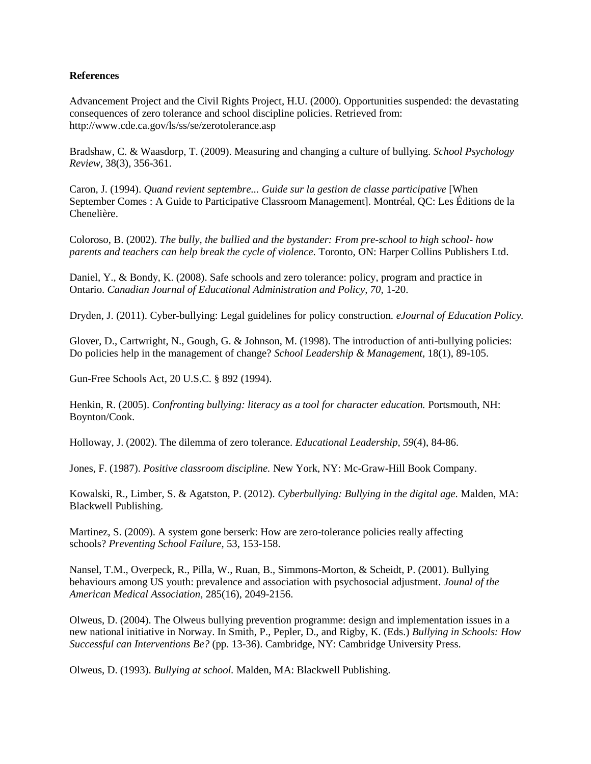#### **References**

Advancement Project and the Civil Rights Project, H.U. (2000). Opportunities suspended: the devastating consequences of zero tolerance and school discipline policies. Retrieved from: http://www.cde.ca.gov/ls/ss/se/zerotolerance.asp

Bradshaw, C. & Waasdorp, T. (2009). Measuring and changing a culture of bullying. *School Psychology Review,* 38(3), 356-361.

Caron, J. (1994). *Quand revient septembre... Guide sur la gestion de classe participative* [When September Comes : A Guide to Participative Classroom Management]. Montréal, QC: Les Éditions de la Chenelière.

Coloroso, B. (2002). *The bully, the bullied and the bystander: From pre-school to high school- how parents and teachers can help break the cycle of violence.* Toronto, ON: Harper Collins Publishers Ltd.

Daniel, Y., & Bondy, K. (2008). Safe schools and zero tolerance: policy, program and practice in Ontario. *Canadian Journal of Educational Administration and Policy, 70,* 1-20.

Dryden, J. (2011). Cyber-bullying: Legal guidelines for policy construction. *eJournal of Education Policy.*

Glover, D., Cartwright, N., Gough, G. & Johnson, M. (1998). The introduction of anti-bullying policies: Do policies help in the management of change? *School Leadership & Management,* 18(1), 89-105.

Gun-Free Schools Act, 20 U.S.C. § 892 (1994).

Henkin, R. (2005). *Confronting bullying: literacy as a tool for character education.* Portsmouth, NH: Boynton/Cook.

Holloway, J. (2002). The dilemma of zero tolerance. *Educational Leadership, 59*(4), 84-86.

Jones, F. (1987). *Positive classroom discipline.* New York, NY: Mc-Graw-Hill Book Company.

Kowalski, R., Limber, S. & Agatston, P. (2012). *Cyberbullying: Bullying in the digital age.* Malden, MA: Blackwell Publishing.

Martinez, S. (2009). A system gone berserk: How are zero-tolerance policies really affecting schools? *Preventing School Failure,* 53, 153-158.

Nansel, T.M., Overpeck, R., Pilla, W., Ruan, B., Simmons-Morton, & Scheidt, P. (2001). Bullying behaviours among US youth: prevalence and association with psychosocial adjustment. *Jounal of the American Medical Association,* 285(16), 2049-2156.

Olweus, D. (2004). The Olweus bullying prevention programme: design and implementation issues in a new national initiative in Norway. In Smith, P., Pepler, D., and Rigby, K. (Eds.) *Bullying in Schools: How Successful can Interventions Be?* (pp. 13-36). Cambridge, NY: Cambridge University Press.

Olweus, D. (1993). *Bullying at school.* Malden, MA: Blackwell Publishing.